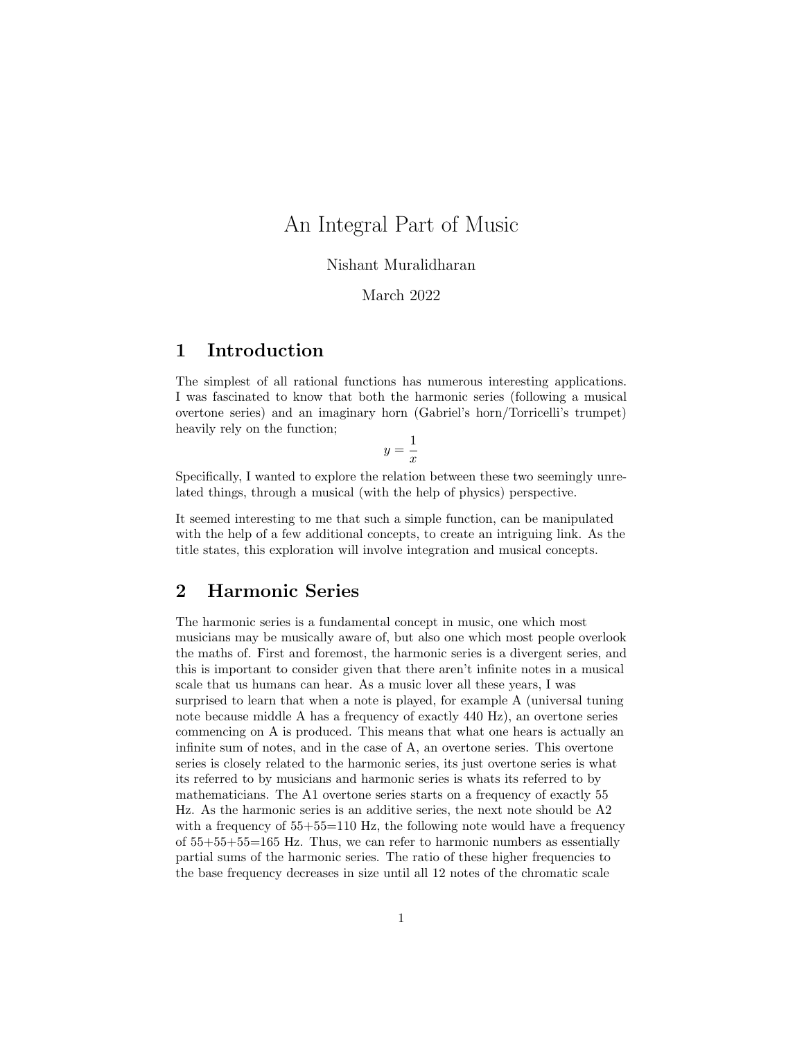# An Integral Part of Music

#### Nishant Muralidharan

#### March 2022

## 1 Introduction

The simplest of all rational functions has numerous interesting applications. I was fascinated to know that both the harmonic series (following a musical overtone series) and an imaginary horn (Gabriel's horn/Torricelli's trumpet) heavily rely on the function;

$$
y = \frac{1}{x}
$$

Specifically, I wanted to explore the relation between these two seemingly unrelated things, through a musical (with the help of physics) perspective.

It seemed interesting to me that such a simple function, can be manipulated with the help of a few additional concepts, to create an intriguing link. As the title states, this exploration will involve integration and musical concepts.

## 2 Harmonic Series

The harmonic series is a fundamental concept in music, one which most musicians may be musically aware of, but also one which most people overlook the maths of. First and foremost, the harmonic series is a divergent series, and this is important to consider given that there aren't infinite notes in a musical scale that us humans can hear. As a music lover all these years, I was surprised to learn that when a note is played, for example A (universal tuning note because middle A has a frequency of exactly 440 Hz), an overtone series commencing on A is produced. This means that what one hears is actually an infinite sum of notes, and in the case of A, an overtone series. This overtone series is closely related to the harmonic series, its just overtone series is what its referred to by musicians and harmonic series is whats its referred to by mathematicians. The A1 overtone series starts on a frequency of exactly 55 Hz. As the harmonic series is an additive series, the next note should be A2 with a frequency of  $55+55=110$  Hz, the following note would have a frequency of 55+55+55=165 Hz. Thus, we can refer to harmonic numbers as essentially partial sums of the harmonic series. The ratio of these higher frequencies to the base frequency decreases in size until all 12 notes of the chromatic scale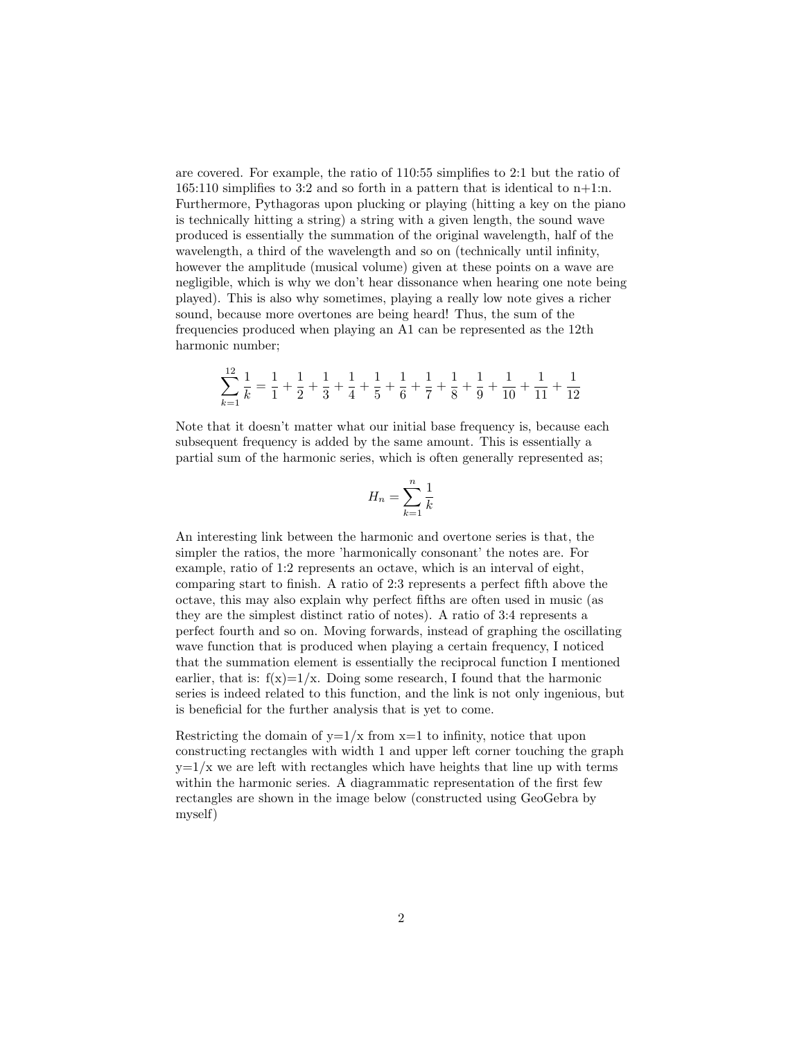are covered. For example, the ratio of 110:55 simplifies to 2:1 but the ratio of 165:110 simplifies to 3:2 and so forth in a pattern that is identical to  $n+1:n$ . Furthermore, Pythagoras upon plucking or playing (hitting a key on the piano is technically hitting a string) a string with a given length, the sound wave produced is essentially the summation of the original wavelength, half of the wavelength, a third of the wavelength and so on (technically until infinity, however the amplitude (musical volume) given at these points on a wave are negligible, which is why we don't hear dissonance when hearing one note being played). This is also why sometimes, playing a really low note gives a richer sound, because more overtones are being heard! Thus, the sum of the frequencies produced when playing an A1 can be represented as the 12th harmonic number;

$$
\sum_{k=1}^{12} \frac{1}{k} = \frac{1}{1} + \frac{1}{2} + \frac{1}{3} + \frac{1}{4} + \frac{1}{5} + \frac{1}{6} + \frac{1}{7} + \frac{1}{8} + \frac{1}{9} + \frac{1}{10} + \frac{1}{11} + \frac{1}{12}
$$

Note that it doesn't matter what our initial base frequency is, because each subsequent frequency is added by the same amount. This is essentially a partial sum of the harmonic series, which is often generally represented as;

$$
H_n = \sum_{k=1}^n \frac{1}{k}
$$

An interesting link between the harmonic and overtone series is that, the simpler the ratios, the more 'harmonically consonant' the notes are. For example, ratio of 1:2 represents an octave, which is an interval of eight, comparing start to finish. A ratio of 2:3 represents a perfect fifth above the octave, this may also explain why perfect fifths are often used in music (as they are the simplest distinct ratio of notes). A ratio of 3:4 represents a perfect fourth and so on. Moving forwards, instead of graphing the oscillating wave function that is produced when playing a certain frequency, I noticed that the summation element is essentially the reciprocal function I mentioned earlier, that is:  $f(x)=1/x$ . Doing some research, I found that the harmonic series is indeed related to this function, and the link is not only ingenious, but is beneficial for the further analysis that is yet to come.

Restricting the domain of  $y=1/x$  from  $x=1$  to infinity, notice that upon constructing rectangles with width 1 and upper left corner touching the graph  $y=1/x$  we are left with rectangles which have heights that line up with terms within the harmonic series. A diagrammatic representation of the first few rectangles are shown in the image below (constructed using GeoGebra by myself)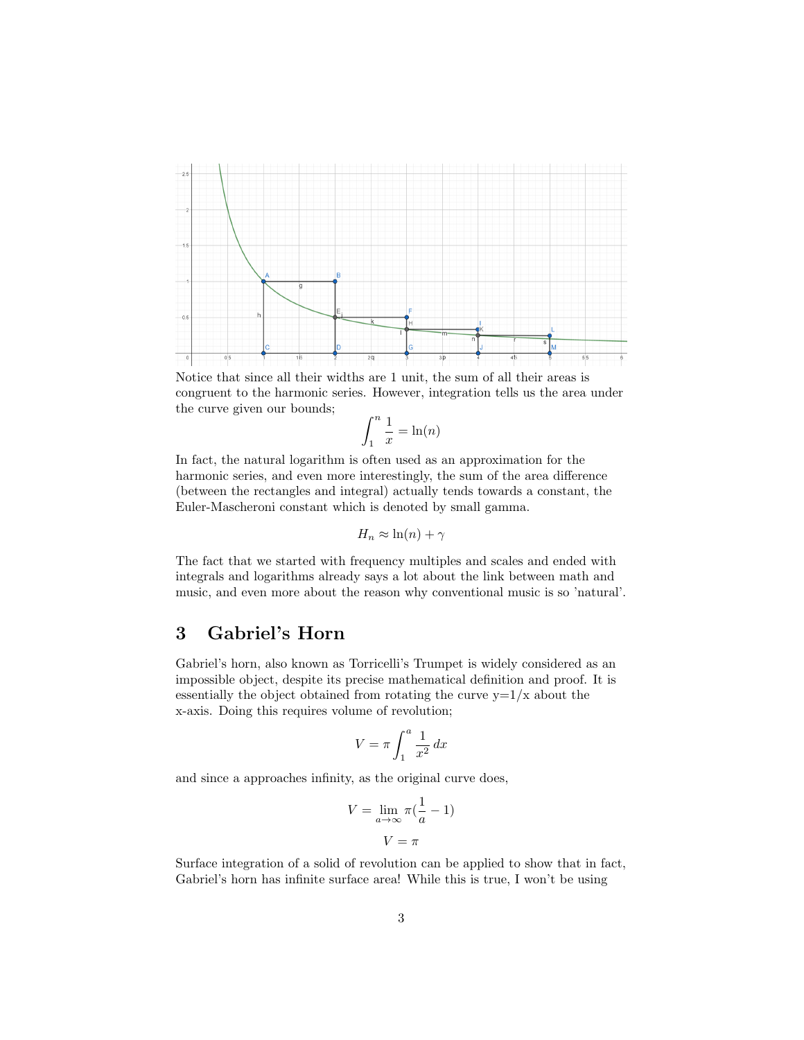

Notice that since all their widths are 1 unit, the sum of all their areas is congruent to the harmonic series. However, integration tells us the area under the curve given our bounds;

$$
\int_1^n \frac{1}{x} = \ln(n)
$$

In fact, the natural logarithm is often used as an approximation for the harmonic series, and even more interestingly, the sum of the area difference (between the rectangles and integral) actually tends towards a constant, the Euler-Mascheroni constant which is denoted by small gamma.

$$
H_n \approx \ln(n) + \gamma
$$

The fact that we started with frequency multiples and scales and ended with integrals and logarithms already says a lot about the link between math and music, and even more about the reason why conventional music is so 'natural'.

## 3 Gabriel's Horn

Gabriel's horn, also known as Torricelli's Trumpet is widely considered as an impossible object, despite its precise mathematical definition and proof. It is essentially the object obtained from rotating the curve  $y=1/x$  about the x-axis. Doing this requires volume of revolution;

$$
V = \pi \int_1^a \frac{1}{x^2} \, dx
$$

and since a approaches infinity, as the original curve does,

$$
V = \lim_{a \to \infty} \pi \left( \frac{1}{a} - 1 \right)
$$

$$
V = \pi
$$

Surface integration of a solid of revolution can be applied to show that in fact, Gabriel's horn has infinite surface area! While this is true, I won't be using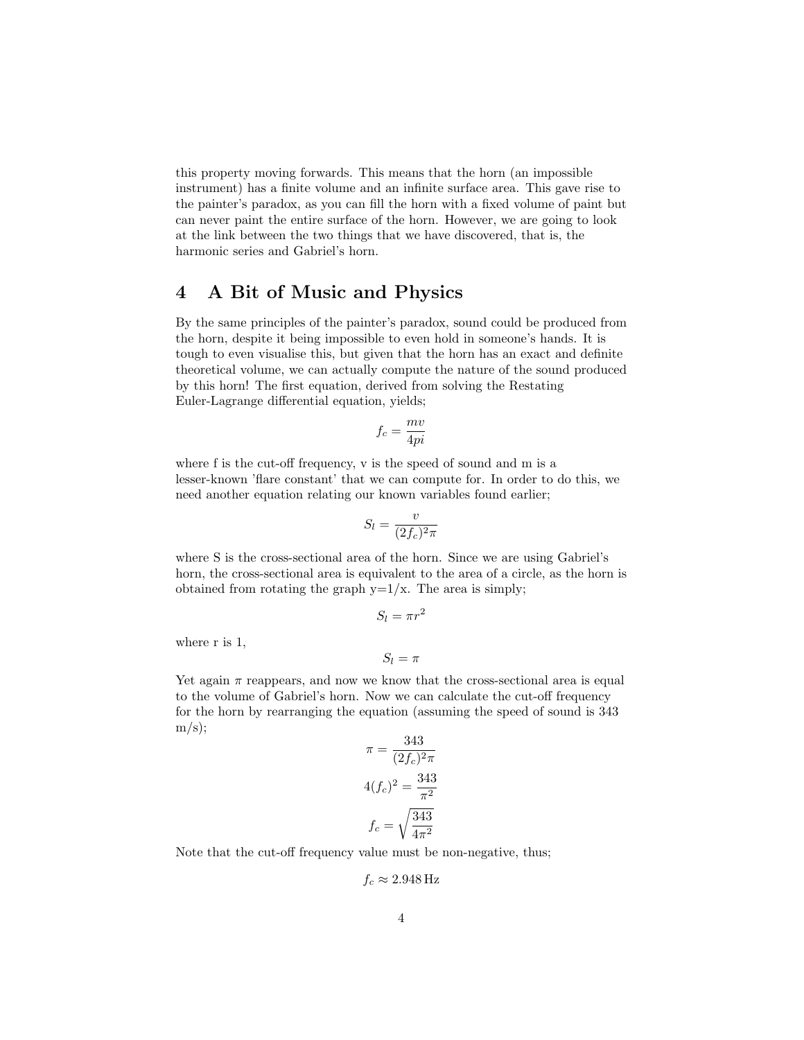this property moving forwards. This means that the horn (an impossible instrument) has a finite volume and an infinite surface area. This gave rise to the painter's paradox, as you can fill the horn with a fixed volume of paint but can never paint the entire surface of the horn. However, we are going to look at the link between the two things that we have discovered, that is, the harmonic series and Gabriel's horn.

### 4 A Bit of Music and Physics

By the same principles of the painter's paradox, sound could be produced from the horn, despite it being impossible to even hold in someone's hands. It is tough to even visualise this, but given that the horn has an exact and definite theoretical volume, we can actually compute the nature of the sound produced by this horn! The first equation, derived from solving the Restating Euler-Lagrange differential equation, yields;

$$
f_c = \frac{mv}{4pi}
$$

where f is the cut-off frequency, v is the speed of sound and m is a lesser-known 'flare constant' that we can compute for. In order to do this, we need another equation relating our known variables found earlier;

$$
S_l = \frac{v}{(2f_c)^2 \pi}
$$

where S is the cross-sectional area of the horn. Since we are using Gabriel's horn, the cross-sectional area is equivalent to the area of a circle, as the horn is obtained from rotating the graph  $y=1/x$ . The area is simply;

$$
S_l = \pi r^2
$$

where r is 1,

$$
S_l=\pi
$$

Yet again  $\pi$  reappears, and now we know that the cross-sectional area is equal to the volume of Gabriel's horn. Now we can calculate the cut-off frequency for the horn by rearranging the equation (assuming the speed of sound is 343  $m/s$ );

$$
\pi = \frac{343}{(2f_c)^2 \pi}
$$

$$
4(f_c)^2 = \frac{343}{\pi^2}
$$

$$
f_c = \sqrt{\frac{343}{4\pi^2}}
$$

Note that the cut-off frequency value must be non-negative, thus;

$$
f_c \approx 2.948\,\mathrm{Hz}
$$